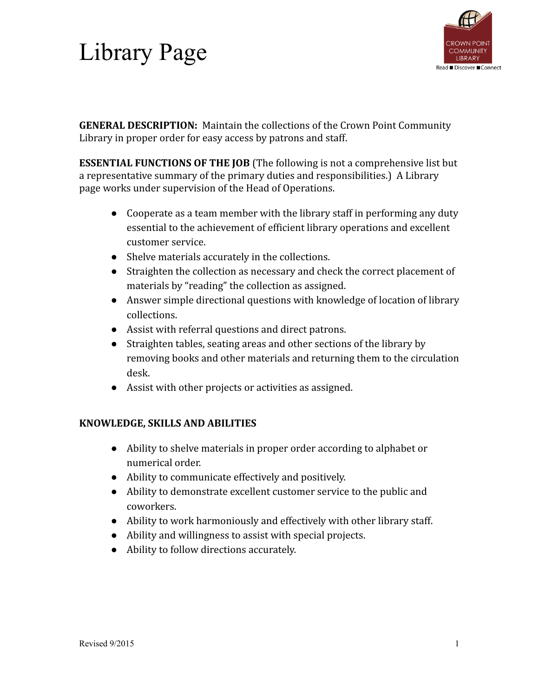# Library Page



**GENERAL DESCRIPTION:** Maintain the collections of the Crown Point Community Library in proper order for easy access by patrons and staff.

**ESSENTIAL FUNCTIONS OF THE JOB** (The following is not a comprehensive list but a representative summary of the primary duties and responsibilities.) A Library page works under supervision of the Head of Operations.

- Cooperate as a team member with the library staff in performing any duty essential to the achievement of efficient library operations and excellent customer service.
- Shelve materials accurately in the collections.
- Straighten the collection as necessary and check the correct placement of materials by "reading" the collection as assigned.
- Answer simple directional questions with knowledge of location of library collections.
- Assist with referral questions and direct patrons.
- Straighten tables, seating areas and other sections of the library by removing books and other materials and returning them to the circulation desk.
- Assist with other projects or activities as assigned.

#### **KNOWLEDGE, SKILLS AND ABILITIES**

- Ability to shelve materials in proper order according to alphabet or numerical order.
- Ability to communicate effectively and positively.
- Ability to demonstrate excellent customer service to the public and coworkers.
- Ability to work harmoniously and effectively with other library staff.
- Ability and willingness to assist with special projects.
- Ability to follow directions accurately.